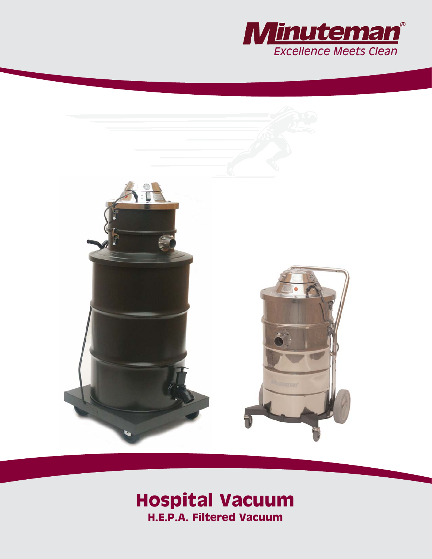



# **Hospital Vacuum H.E.P.A. Filtered Vacuum**